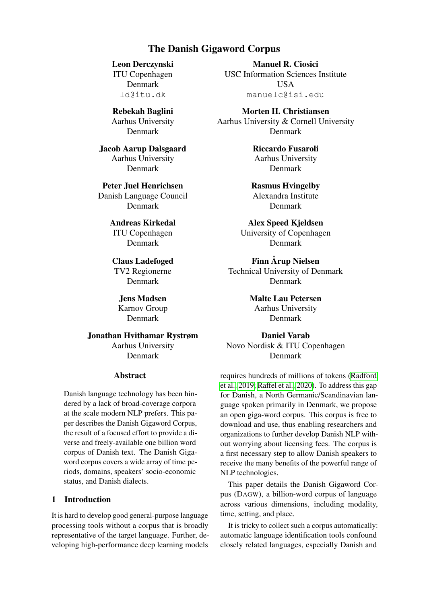# The Danish Gigaword Corpus

<span id="page-0-0"></span>Leon Derczynski ITU Copenhagen Denmark ld@itu.dk

Rebekah Baglini Aarhus University Denmark

Jacob Aarup Dalsgaard Aarhus University Denmark

Peter Juel Henrichsen Danish Language Council Denmark

> Andreas Kirkedal ITU Copenhagen Denmark

Claus Ladefoged TV2 Regionerne Denmark

Jens Madsen Karnov Group Denmark

Jonathan Hvithamar Rystrøm Aarhus University Denmark

#### Abstract

Danish language technology has been hindered by a lack of broad-coverage corpora at the scale modern NLP prefers. This paper describes the Danish Gigaword Corpus, the result of a focused effort to provide a diverse and freely-available one billion word corpus of Danish text. The Danish Gigaword corpus covers a wide array of time periods, domains, speakers' socio-economic status, and Danish dialects.

## 1 Introduction

It is hard to develop good general-purpose language processing tools without a corpus that is broadly representative of the target language. Further, developing high-performance deep learning models

Manuel R. Ciosici USC Information Sciences Institute **USA** manuelc@isi.edu

Morten H. Christiansen Aarhus University & Cornell University Denmark

> Riccardo Fusaroli Aarhus University Denmark

Rasmus Hvingelby Alexandra Institute Denmark

Alex Speed Kjeldsen University of Copenhagen Denmark

Finn Årup Nielsen Technical University of Denmark Denmark

> Malte Lau Petersen Aarhus University Denmark

Daniel Varab Novo Nordisk & ITU Copenhagen Denmark

requires hundreds of millions of tokens [\(Radford](#page-5-0) [et al., 2019;](#page-5-0) [Raffel et al., 2020\)](#page-5-1). To address this gap for Danish, a North Germanic/Scandinavian language spoken primarily in Denmark, we propose an open giga-word corpus. This corpus is free to download and use, thus enabling researchers and organizations to further develop Danish NLP without worrying about licensing fees. The corpus is a first necessary step to allow Danish speakers to receive the many benefits of the powerful range of NLP technologies.

This paper details the Danish Gigaword Corpus (DAGW), a billion-word corpus of language across various dimensions, including modality, time, setting, and place.

It is tricky to collect such a corpus automatically: automatic language identification tools confound closely related languages, especially Danish and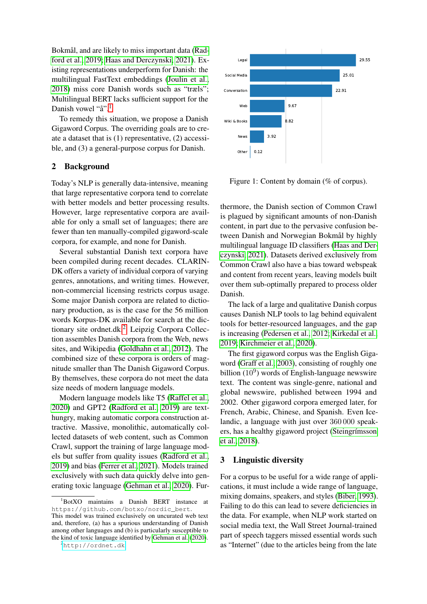Bokmål, and are likely to miss important data [\(Rad](#page-5-0)[ford et al., 2019;](#page-5-0) [Haas and Derczynski, 2021\)](#page-5-2). Existing representations underperform for Danish: the multilingual FastText embeddings [\(Joulin et al.,](#page-5-3) [2018\)](#page-5-3) miss core Danish words such as "træls"; Multilingual BERT lacks sufficient support for the Danish vowel "å".<sup>[1](#page-1-0)</sup>

To remedy this situation, we propose a Danish Gigaword Corpus. The overriding goals are to create a dataset that is (1) representative, (2) accessible, and (3) a general-purpose corpus for Danish.

#### 2 Background

Today's NLP is generally data-intensive, meaning that large representative corpora tend to correlate with better models and better processing results. However, large representative corpora are available for only a small set of languages; there are fewer than ten manually-compiled gigaword-scale corpora, for example, and none for Danish.

Several substantial Danish text corpora have been compiled during recent decades. CLARIN-DK offers a variety of individual corpora of varying genres, annotations, and writing times. However, non-commercial licensing restricts corpus usage. Some major Danish corpora are related to dictionary production, as is the case for the 56 million words Korpus-DK available for search at the dictionary site ordnet.dk.[2](#page-1-1) Leipzig Corpora Collection assembles Danish corpora from the Web, news sites, and Wikipedia [\(Goldhahn et al., 2012\)](#page-5-4). The combined size of these corpora is orders of magnitude smaller than The Danish Gigaword Corpus. By themselves, these corpora do not meet the data size needs of modern language models.

Modern language models like T5 [\(Raffel et al.,](#page-5-1) [2020\)](#page-5-1) and GPT2 [\(Radford et al., 2019\)](#page-5-0) are texthungry, making automatic corpora construction attractive. Massive, monolithic, automatically collected datasets of web content, such as Common Crawl, support the training of large language models but suffer from quality issues [\(Radford et al.,](#page-5-0) [2019\)](#page-5-0) and bias [\(Ferrer et al., 2021\)](#page-5-5). Models trained exclusively with such data quickly delve into generating toxic language [\(Gehman et al., 2020\)](#page-5-6). Fur-



<span id="page-1-2"></span>Figure 1: Content by domain (% of corpus).

thermore, the Danish section of Common Crawl is plagued by significant amounts of non-Danish content, in part due to the pervasive confusion between Danish and Norwegian Bokmål by highly multilingual language ID classifiers [\(Haas and Der](#page-5-2)[czynski, 2021\)](#page-5-2). Datasets derived exclusively from Common Crawl also have a bias toward webspeak and content from recent years, leaving models built over them sub-optimally prepared to process older Danish.

The lack of a large and qualitative Danish corpus causes Danish NLP tools to lag behind equivalent tools for better-resourced languages, and the gap is increasing [\(Pedersen et al., 2012;](#page-5-7) [Kirkedal et al.,](#page-5-8) [2019;](#page-5-8) [Kirchmeier et al., 2020\)](#page-5-9).

The first gigaword corpus was the English Gigaword [\(Graff et al., 2003\)](#page-5-10), consisting of roughly one billion  $(10^9)$  words of English-language newswire text. The content was single-genre, national and global newswire, published between 1994 and 2002. Other gigaword corpora emerged later, for French, Arabic, Chinese, and Spanish. Even Icelandic, a language with just over 360 000 speakers, has a healthy gigaword project [\(Steingrímsson](#page-6-0) [et al., 2018\)](#page-6-0).

#### 3 Linguistic diversity

For a corpus to be useful for a wide range of applications, it must include a wide range of language, mixing domains, speakers, and styles [\(Biber, 1993\)](#page-4-0). Failing to do this can lead to severe deficiencies in the data. For example, when NLP work started on social media text, the Wall Street Journal-trained part of speech taggers missed essential words such as "Internet" (due to the articles being from the late

<span id="page-1-0"></span><sup>1</sup>BotXO maintains a Danish BERT instance at https://github.com/botxo/nordic\_bert. This model was trained exclusively on uncurated web text and, therefore, (a) has a spurious understanding of Danish among other languages and (b) is particularly susceptible to the kind of toxic language identified by [Gehman et al.](#page-5-6) [\(2020\)](#page-5-6).

<span id="page-1-1"></span><sup>2</sup><http://ordnet.dk>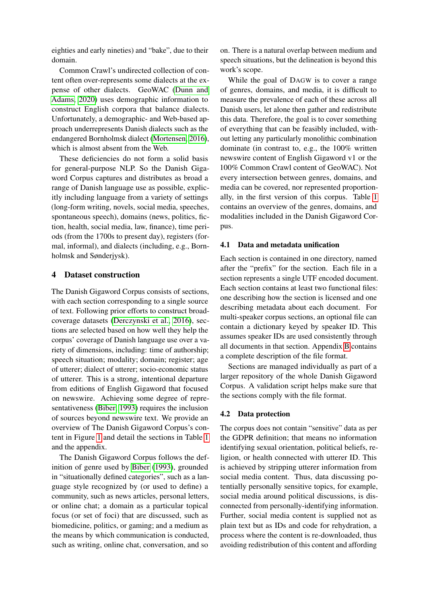eighties and early nineties) and "bake", due to their domain.

Common Crawl's undirected collection of content often over-represents some dialects at the expense of other dialects. GeoWAC [\(Dunn and](#page-5-11) [Adams, 2020\)](#page-5-11) uses demographic information to construct English corpora that balance dialects. Unfortunately, a demographic- and Web-based approach underrepresents Danish dialects such as the endangered Bornholmsk dialect [\(Mortensen, 2016\)](#page-5-12), which is almost absent from the Web.

These deficiencies do not form a solid basis for general-purpose NLP. So the Danish Gigaword Corpus captures and distributes as broad a range of Danish language use as possible, explicitly including language from a variety of settings (long-form writing, novels, social media, speeches, spontaneous speech), domains (news, politics, fiction, health, social media, law, finance), time periods (from the 1700s to present day), registers (formal, informal), and dialects (including, e.g., Bornholmsk and Sønderjysk).

#### 4 Dataset construction

The Danish Gigaword Corpus consists of sections, with each section corresponding to a single source of text. Following prior efforts to construct broadcoverage datasets [\(Derczynski et al., 2016\)](#page-4-1), sections are selected based on how well they help the corpus' coverage of Danish language use over a variety of dimensions, including: time of authorship; speech situation; modality; domain; register; age of utterer; dialect of utterer; socio-economic status of utterer. This is a strong, intentional departure from editions of English Gigaword that focused on newswire. Achieving some degree of representativeness [\(Biber, 1993\)](#page-4-0) requires the inclusion of sources beyond newswire text. We provide an overview of The Danish Gigaword Corpus's content in Figure [1](#page-1-2) and detail the sections in Table [1](#page-3-0) and the appendix.

The Danish Gigaword Corpus follows the definition of genre used by [Biber](#page-4-0) [\(1993\)](#page-4-0), grounded in "situationally defined categories", such as a language style recognized by (or used to define) a community, such as news articles, personal letters, or online chat; a domain as a particular topical focus (or set of foci) that are discussed, such as biomedicine, politics, or gaming; and a medium as the means by which communication is conducted, such as writing, online chat, conversation, and so

on. There is a natural overlap between medium and speech situations, but the delineation is beyond this work's scope.

While the goal of DAGW is to cover a range of genres, domains, and media, it is difficult to measure the prevalence of each of these across all Danish users, let alone then gather and redistribute this data. Therefore, the goal is to cover something of everything that can be feasibly included, without letting any particularly monolithic combination dominate (in contrast to, e.g., the 100% written newswire content of English Gigaword v1 or the 100% Common Crawl content of GeoWAC). Not every intersection between genres, domains, and media can be covered, nor represented proportionally, in the first version of this corpus. Table [1](#page-3-0) contains an overview of the genres, domains, and modalities included in the Danish Gigaword Corpus.

#### 4.1 Data and metadata unification

Each section is contained in one directory, named after the "prefix" for the section. Each file in a section represents a single UTF encoded document. Each section contains at least two functional files: one describing how the section is licensed and one describing metadata about each document. For multi-speaker corpus sections, an optional file can contain a dictionary keyed by speaker ID. This assumes speaker IDs are used consistently through all documents in that section. Appendix [B](#page-8-0) contains a complete description of the file format.

Sections are managed individually as part of a larger repository of the whole Danish Gigaword Corpus. A validation script helps make sure that the sections comply with the file format.

#### 4.2 Data protection

The corpus does not contain "sensitive" data as per the GDPR definition; that means no information identifying sexual orientation, political beliefs, religion, or health connected with utterer ID. This is achieved by stripping utterer information from social media content. Thus, data discussing potentially personally sensitive topics, for example, social media around political discussions, is disconnected from personally-identifying information. Further, social media content is supplied not as plain text but as IDs and code for rehydration, a process where the content is re-downloaded, thus avoiding redistribution of this content and affording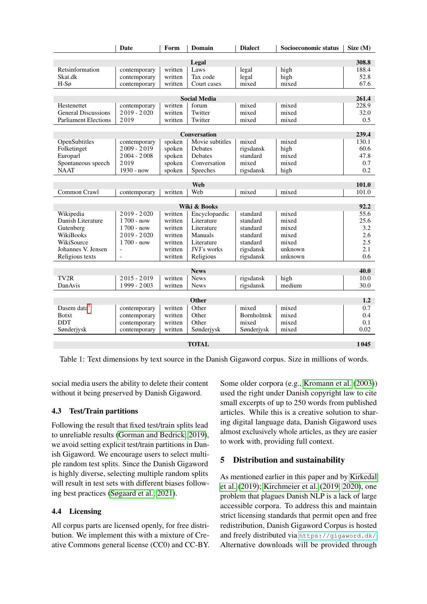|                              | <b>Date</b>    | Form    | Domain          | <b>Dialect</b>    | Socioeconomic status | Size (M) |
|------------------------------|----------------|---------|-----------------|-------------------|----------------------|----------|
|                              |                |         |                 |                   |                      |          |
|                              |                |         | Legal           |                   |                      | 308.8    |
| Retsinformation              | contemporary   | written | Laws            | legal             | high                 | 188.4    |
| Skat.dk                      | contemporary   | written | Tax code        | legal             | high                 | 52.8     |
| $H-S\sigma$                  | contemporary   | written | Court cases     | mixed             | mixed                | 67.6     |
| <b>Social Media</b><br>261.4 |                |         |                 |                   |                      |          |
| Hestenettet                  | contemporary   | written | forum           | mixed             | mixed                | 228.9    |
| <b>General Discussions</b>   | $2019 - 2020$  | written | Twitter         | mixed             | mixed                | 32.0     |
| <b>Parliament Elections</b>  | 2019           | written | Twitter         | mixed             | mixed                | 0.5      |
|                              |                |         |                 |                   |                      |          |
| Conversation                 |                |         |                 |                   |                      | 239.4    |
| OpenSubtitles                | contemporary   | spoken  | Movie subtitles | mixed             | mixed                | 130.1    |
| Folketinget                  | $2009 - 2019$  | spoken  | Debates         | rigsdansk         | high                 | 60.6     |
| Europarl                     | $2004 - 2008$  | spoken  | Debates         | standard          | mixed                | 47.8     |
| Spontaneous speech           | 2019           | spoken  | Conversation    | mixed             | mixed                | 0.7      |
| <b>NAAT</b>                  | $1930 - now$   | spoken  | Speeches        | rigsdansk         | high                 | 0.2      |
|                              |                |         |                 |                   |                      |          |
| Web                          |                |         |                 |                   |                      | 101.0    |
| Common Crawl                 | contemporary   | written | Web             | mixed             | mixed                | 101.0    |
|                              |                |         |                 |                   |                      |          |
|                              |                |         | Wiki & Books    |                   |                      | 92.2     |
| Wikipedia                    | $2019 - 2020$  | written | Encyclopaedic   | standard          | mixed                | 55.6     |
| Danish Literature            | $1700 - now$   | written | Literature      | standard          | mixed                | 25.6     |
| Gutenberg                    | $1700 - now$   | written | Literature      | standard          | mixed                | 3.2      |
| <b>WikiBooks</b>             | $2019 - 2020$  | written | Manuals         | standard          | mixed                | 2.6      |
| WikiSource                   | $1700 - now$   | written | Literature      | standard          | mixed                | 2.5      |
| Johannes V. Jensen           | $\sim$         | written | JVJ's works     | rigsdansk         | unknown              | 2.1      |
| Religious texts              | $\overline{a}$ | written | Religious       | rigsdansk         | unknown              | 0.6      |
| <b>News</b><br>40.0          |                |         |                 |                   |                      |          |
| TV <sub>2R</sub>             | $2015 - 2019$  | written | <b>News</b>     | rigsdansk         | high                 | 10.0     |
| DanAvis                      | 1999 - 2003    | written | <b>News</b>     | rigsdansk         | medium               | 30.0     |
|                              |                |         |                 |                   |                      |          |
| <b>Other</b>                 |                |         |                 |                   |                      |          |
| Dasem data $3$               | contemporary   | written | Other           | mixed             | mixed                | 0.7      |
| <b>Botxt</b>                 | contemporary   | written | Other           | <b>Bornholmsk</b> | mixed                | 0.4      |
| <b>DDT</b>                   | contemporary   | written | Other           | mixed             | mixed                | 0.1      |
| Sønderjysk                   | contemporary   | written | Sønderjysk      | Sønderjysk        | mixed                | 0.02     |
|                              |                |         |                 |                   |                      |          |
| <b>TOTAL</b>                 |                |         |                 |                   |                      | 1045     |

<span id="page-3-0"></span>Table 1: Text dimensions by text source in the Danish Gigaword corpus. Size in millions of words.

social media users the ability to delete their content without it being preserved by Danish Gigaword.

# 4.3 Test/Train partitions

Following the result that fixed test/train splits lead to unreliable results [\(Gorman and Bedrick, 2019\)](#page-5-13), we avoid setting explicit test/train partitions in Danish Gigaword. We encourage users to select multiple random test splits. Since the Danish Gigaword is highly diverse, selecting multiple random splits will result in test sets with different biases following best practices [\(Søgaard et al., 2021\)](#page-6-1).

### <span id="page-3-1"></span>4.4 Licensing

All corpus parts are licensed openly, for free distribution. We implement this with a mixture of Creative Commons general license (CC0) and CC-BY. Some older corpora (e.g., [Kromann et al.](#page-5-14) [\(2003\)](#page-5-14)) used the right under Danish copyright law to cite small excerpts of up to 250 words from published articles. While this is a creative solution to sharing digital language data, Danish Gigaword uses almost exclusively whole articles, as they are easier to work with, providing full context.

# 5 Distribution and sustainability

As mentioned earlier in this paper and by [Kirkedal](#page-5-8) [et al.](#page-5-8) [\(2019\)](#page-5-8); [Kirchmeier et al.](#page-5-15) [\(2019,](#page-5-15) [2020\)](#page-5-9), one problem that plagues Danish NLP is a lack of large accessible corpora. To address this and maintain strict licensing standards that permit open and free redistribution, Danish Gigaword Corpus is hosted and freely distributed via <https://gigaword.dk/>. Alternative downloads will be provided through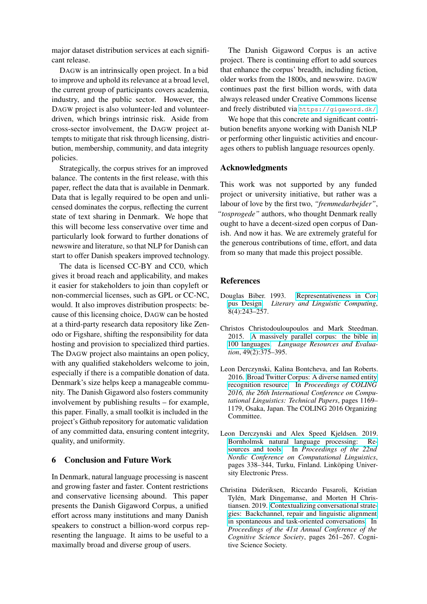major dataset distribution services at each significant release.

DAGW is an intrinsically open project. In a bid to improve and uphold its relevance at a broad level, the current group of participants covers academia, industry, and the public sector. However, the DAGW project is also volunteer-led and volunteerdriven, which brings intrinsic risk. Aside from cross-sector involvement, the DAGW project attempts to mitigate that risk through licensing, distribution, membership, community, and data integrity policies.

Strategically, the corpus strives for an improved balance. The contents in the first release, with this paper, reflect the data that is available in Denmark. Data that is legally required to be open and unlicensed dominates the corpus, reflecting the current state of text sharing in Denmark. We hope that this will become less conservative over time and particularly look forward to further donations of newswire and literature, so that NLP for Danish can start to offer Danish speakers improved technology.

The data is licensed CC-BY and CC0, which gives it broad reach and applicability, and makes it easier for stakeholders to join than copyleft or non-commercial licenses, such as GPL or CC-NC, would. It also improves distribution prospects: because of this licensing choice, DAGW can be hosted at a third-party research data repository like Zenodo or Figshare, shifting the responsibility for data hosting and provision to specialized third parties. The DAGW project also maintains an open policy, with any qualified stakeholders welcome to join, especially if there is a compatible donation of data. Denmark's size helps keep a manageable community. The Danish Gigaword also fosters community involvement by publishing results – for example, this paper. Finally, a small toolkit is included in the project's Github repository for automatic validation of any committed data, ensuring content integrity, quality, and uniformity.

#### 6 Conclusion and Future Work

In Denmark, natural language processing is nascent and growing faster and faster. Content restrictions and conservative licensing abound. This paper presents the Danish Gigaword Corpus, a unified effort across many institutions and many Danish speakers to construct a billion-word corpus representing the language. It aims to be useful to a maximally broad and diverse group of users.

The Danish Gigaword Corpus is an active project. There is continuing effort to add sources that enhance the corpus' breadth, including fiction, older works from the 1800s, and newswire. DAGW continues past the first billion words, with data always released under Creative Commons license and freely distributed via <https://gigaword.dk/>.

We hope that this concrete and significant contribution benefits anyone working with Danish NLP or performing other linguistic activities and encourages others to publish language resources openly.

#### Acknowledgments

This work was not supported by any funded project or university initiative, but rather was a labour of love by the first two, *"fremmedarbejder"*, *"tosprogede"* authors, who thought Denmark really ought to have a decent-sized open corpus of Danish. And now it has. We are extremely grateful for the generous contributions of time, effort, and data from so many that made this project possible.

#### References

- <span id="page-4-0"></span>Douglas Biber. 1993. [Representativeness in Cor](https://doi.org/10.1093/llc/8.4.243)[pus Design.](https://doi.org/10.1093/llc/8.4.243) *Literary and Linguistic Computing*, 8(4):243–257.
- <span id="page-4-3"></span>Christos Christodouloupoulos and Mark Steedman. 2015. [A massively parallel corpus: the bible in](https://doi.org/10.1007/s10579-014-9287-y) [100 languages.](https://doi.org/10.1007/s10579-014-9287-y) *Language Resources and Evaluation*, 49(2):375–395.
- <span id="page-4-1"></span>Leon Derczynski, Kalina Bontcheva, and Ian Roberts. 2016. [Broad Twitter Corpus: A diverse named entity](https://www.aclweb.org/anthology/C16-1111) [recognition resource.](https://www.aclweb.org/anthology/C16-1111) In *Proceedings of COLING 2016, the 26th International Conference on Computational Linguistics: Technical Papers*, pages 1169– 1179, Osaka, Japan. The COLING 2016 Organizing Committee.
- <span id="page-4-4"></span>Leon Derczynski and Alex Speed Kjeldsen. 2019. [Bornholmsk natural language processing: Re](https://www.aclweb.org/anthology/W19-6138)[sources and tools.](https://www.aclweb.org/anthology/W19-6138) In *Proceedings of the 22nd Nordic Conference on Computational Linguistics*, pages 338–344, Turku, Finland. Linköping University Electronic Press.
- <span id="page-4-2"></span>Christina Dideriksen, Riccardo Fusaroli, Kristian Tylén, Mark Dingemanse, and Morten H Christiansen. 2019. [Contextualizing conversational strate](https://pure.au.dk/portal/files/167670567/Dideriksen_et_al..pdf)[gies: Backchannel, repair and linguistic alignment](https://pure.au.dk/portal/files/167670567/Dideriksen_et_al..pdf) [in spontaneous and task-oriented conversations.](https://pure.au.dk/portal/files/167670567/Dideriksen_et_al..pdf) In *Proceedings of the 41st Annual Conference of the Cognitive Science Society*, pages 261–267. Cognitive Science Society.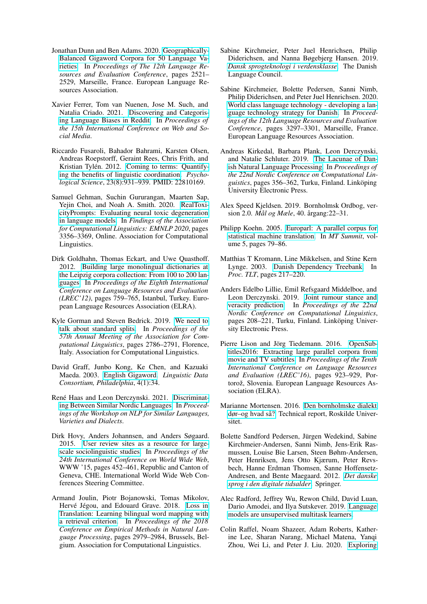- <span id="page-5-11"></span>Jonathan Dunn and Ben Adams. 2020. [Geographically-](https://www.aclweb.org/anthology/2020.lrec-1.308/)[Balanced Gigaword Corpora for 50 Language Va](https://www.aclweb.org/anthology/2020.lrec-1.308/)[rieties.](https://www.aclweb.org/anthology/2020.lrec-1.308/) In *Proceedings of The 12th Language Resources and Evaluation Conference*, pages 2521– 2529, Marseille, France. European Language Resources Association.
- <span id="page-5-5"></span>Xavier Ferrer, Tom van Nuenen, Jose M. Such, and Natalia Criado. 2021. [Discovering and Categoris](http://arxiv.org/abs/2008.02754)[ing Language Biases in Reddit.](http://arxiv.org/abs/2008.02754) In *Proceedings of the 15th International Conference on Web and Social Media*.
- <span id="page-5-16"></span>Riccardo Fusaroli, Bahador Bahrami, Karsten Olsen, Andreas Roepstorff, Geraint Rees, Chris Frith, and Kristian Tylén. 2012. [Coming to terms: Quantify](https://doi.org/10.1177/0956797612436816)[ing the benefits of linguistic coordination.](https://doi.org/10.1177/0956797612436816) *Psychological Science*, 23(8):931–939. PMID: 22810169.
- <span id="page-5-6"></span>Samuel Gehman, Suchin Gururangan, Maarten Sap, Yejin Choi, and Noah A. Smith. 2020. [RealToxi](https://doi.org/10.18653/v1/2020.findings-emnlp.301)[cityPrompts: Evaluating neural toxic degeneration](https://doi.org/10.18653/v1/2020.findings-emnlp.301) [in language models.](https://doi.org/10.18653/v1/2020.findings-emnlp.301) In *Findings of the Association for Computational Linguistics: EMNLP 2020*, pages 3356–3369, Online. Association for Computational Linguistics.
- <span id="page-5-4"></span>Dirk Goldhahn, Thomas Eckart, and Uwe Quasthoff. 2012. [Building large monolingual dictionaries at](http://www.lrec-conf.org/proceedings/lrec2012/pdf/327_Paper.pdf) [the Leipzig corpora collection: From 100 to 200 lan](http://www.lrec-conf.org/proceedings/lrec2012/pdf/327_Paper.pdf)[guages.](http://www.lrec-conf.org/proceedings/lrec2012/pdf/327_Paper.pdf) In *Proceedings of the Eighth International Conference on Language Resources and Evaluation (LREC'12)*, pages 759–765, Istanbul, Turkey. European Language Resources Association (ELRA).
- <span id="page-5-13"></span>Kyle Gorman and Steven Bedrick. 2019. [We need to](https://doi.org/10.18653/v1/P19-1267) [talk about standard splits.](https://doi.org/10.18653/v1/P19-1267) In *Proceedings of the 57th Annual Meeting of the Association for Computational Linguistics*, pages 2786–2791, Florence, Italy. Association for Computational Linguistics.
- <span id="page-5-10"></span>David Graff, Junbo Kong, Ke Chen, and Kazuaki Maeda. 2003. [English Gigaword.](https://catalog.ldc.upenn.edu/LDC2003T05) *Linguistic Data Consortium, Philadelphia*, 4(1):34.
- <span id="page-5-2"></span>René Haas and Leon Derczynski. 2021. [Discriminat](http://www.derczynski.com/papers/nordic_dsl.pdf)[ing Between Similar Nordic Languages.](http://www.derczynski.com/papers/nordic_dsl.pdf) In *Proceedings of the Workshop on NLP for Similar Languages, Varieties and Dialects*.
- <span id="page-5-19"></span>Dirk Hovy, Anders Johannsen, and Anders Søgaard. 2015. [User review sites as a resource for large](https://doi.org/10.1145/2736277.2741141)[scale sociolinguistic studies.](https://doi.org/10.1145/2736277.2741141) In *Proceedings of the 24th International Conference on World Wide Web*, WWW '15, pages 452–461, Republic and Canton of Geneva, CHE. International World Wide Web Conferences Steering Committee.
- <span id="page-5-3"></span>Armand Joulin, Piotr Bojanowski, Tomas Mikolov, Hervé Jégou, and Edouard Grave. 2018. [Loss in](https://doi.org/10.18653/v1/D18-1330) [Translation: Learning bilingual word mapping with](https://doi.org/10.18653/v1/D18-1330) [a retrieval criterion.](https://doi.org/10.18653/v1/D18-1330) In *Proceedings of the 2018 Conference on Empirical Methods in Natural Language Processing*, pages 2979–2984, Brussels, Belgium. Association for Computational Linguistics.
- <span id="page-5-15"></span>Sabine Kirchmeier, Peter Juel Henrichsen, Philip Diderichsen, and Nanna Bøgebjerg Hansen. 2019. *[Dansk sprogteknologi i verdensklasse](https://dsn.dk/udgivelser/sprognaevnets-udgivelser/sprognaevnets-rapporter/sprogteknologi-i-verdensklasse)*. The Danish Language Council.
- <span id="page-5-9"></span>Sabine Kirchmeier, Bolette Pedersen, Sanni Nimb, Philip Diderichsen, and Peter Juel Henrichsen. 2020. [World class language technology - developing a lan](https://www.aclweb.org/anthology/2020.lrec-1.403)[guage technology strategy for Danish.](https://www.aclweb.org/anthology/2020.lrec-1.403) In *Proceedings of the 12th Language Resources and Evaluation Conference*, pages 3297–3301, Marseille, France. European Language Resources Association.
- <span id="page-5-8"></span>Andreas Kirkedal, Barbara Plank, Leon Derczynski, and Natalie Schluter. 2019. [The Lacunae of Dan](https://www.aclweb.org/anthology/W19-6141)[ish Natural Language Processing.](https://www.aclweb.org/anthology/W19-6141) In *Proceedings of the 22nd Nordic Conference on Computational Linguistics*, pages 356–362, Turku, Finland. Linköping University Electronic Press.
- <span id="page-5-21"></span>Alex Speed Kjeldsen. 2019. Bornholmsk Ordbog, version 2.0. *Mål og Mæle*, 40. årgang:22–31.
- <span id="page-5-17"></span>Philipp Koehn. 2005. [Europarl: A parallel corpus for](http://mt-archive.info/MTS-2005-Koehn.pdf) [statistical machine translation.](http://mt-archive.info/MTS-2005-Koehn.pdf) In *MT Summit*, volume 5, pages 79–86.
- <span id="page-5-14"></span>Matthias T Kromann, Line Mikkelsen, and Stine Kern Lynge. 2003. [Danish Dependency Treebank.](https://research.cbs.dk/en/publications/the-danish-dependency-treebank-and-the-dtag-treebank-tool) In *Proc. TLT*, pages 217–220.
- <span id="page-5-20"></span>Anders Edelbo Lillie, Emil Refsgaard Middelboe, and Leon Derczynski. 2019. [Joint rumour stance and](https://www.aclweb.org/anthology/W19-6122) [veracity prediction.](https://www.aclweb.org/anthology/W19-6122) In *Proceedings of the 22nd Nordic Conference on Computational Linguistics*, pages 208–221, Turku, Finland. Linköping University Electronic Press.
- <span id="page-5-18"></span>Pierre Lison and Jörg Tiedemann. 2016. [OpenSub](https://www.aclweb.org/anthology/L16-1147)[titles2016: Extracting large parallel corpora from](https://www.aclweb.org/anthology/L16-1147) [movie and TV subtitles.](https://www.aclweb.org/anthology/L16-1147) In *Proceedings of the Tenth International Conference on Language Resources and Evaluation (LREC'16)*, pages 923–929, Portorož, Slovenia. European Language Resources Association (ELRA).
- <span id="page-5-12"></span>Marianne Mortensen. 2016. [Den bornholmske dialekt](https://core.ac.uk/download/pdf/12519692.pdf) [dør–og hvad så?](https://core.ac.uk/download/pdf/12519692.pdf) Technical report, Roskilde Universitet.
- <span id="page-5-7"></span>Bolette Sandford Pedersen, Jürgen Wedekind, Sabine Kirchmeier-Andersen, Sanni Nimb, Jens-Erik Rasmussen, Louise Bie Larsen, Steen Bøhm-Andersen, Peter Henriksen, Jens Otto Kjærum, Peter Revsbech, Hanne Erdman Thomsen, Sanne Hoffensetz-Andresen, and Bente Maegaard. 2012. *[Det danske](http://www.meta-net.eu/whitepapers/volumes/danish) [sprog i den digitale tidsalder](http://www.meta-net.eu/whitepapers/volumes/danish)*. Springer.
- <span id="page-5-0"></span>Alec Radford, Jeffrey Wu, Rewon Child, David Luan, Dario Amodei, and Ilya Sutskever. 2019. [Language](https://cdn.openai.com/better-language-models/language_models_are_unsupervised_multitask_learners.pdf) [models are unsupervised multitask learners.](https://cdn.openai.com/better-language-models/language_models_are_unsupervised_multitask_learners.pdf)
- <span id="page-5-1"></span>Colin Raffel, Noam Shazeer, Adam Roberts, Katherine Lee, Sharan Narang, Michael Matena, Yanqi Zhou, Wei Li, and Peter J. Liu. 2020. [Exploring](http://jmlr.org/papers/v21/20-074.html)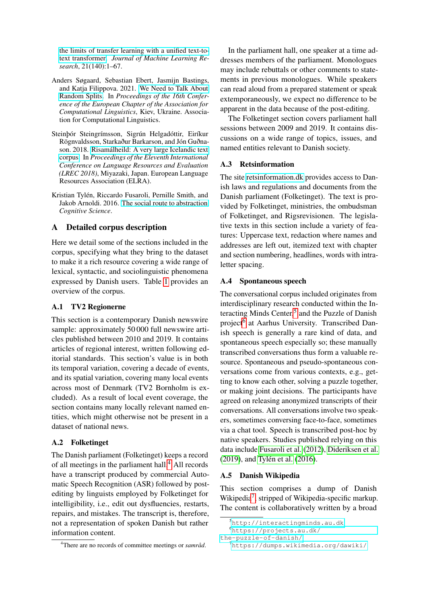[the limits of transfer learning with a unified text-to](http://jmlr.org/papers/v21/20-074.html)[text transformer.](http://jmlr.org/papers/v21/20-074.html) *Journal of Machine Learning Research*, 21(140):1–67.

- <span id="page-6-1"></span>Anders Søgaard, Sebastian Ebert, Jasmijn Bastings, and Katja Filippova. 2021. [We Need to Talk About](http://arxiv.org/abs/2005.00636) [Random Splits.](http://arxiv.org/abs/2005.00636) In *Proceedings of the 16th Conference of the European Chapter of the Association for Computational Linguistics*, Kiev, Ukraine. Association for Computational Linguistics.
- <span id="page-6-0"></span>Steinþór Steingrímsson, Sigrún Helgadóttir, Eiríkur Rögnvaldsson, Starkaður Barkarson, and Jón Guðnason. 2018. [Risamálheild: A very large Icelandic text](https://www.aclweb.org/anthology/L18-1690) [corpus.](https://www.aclweb.org/anthology/L18-1690) In *Proceedings of the Eleventh International Conference on Language Resources and Evaluation (LREC 2018)*, Miyazaki, Japan. European Language Resources Association (ELRA).
- <span id="page-6-5"></span>Kristian Tylén, Riccardo Fusaroli, Pernille Smith, and Jakob Arnoldi. 2016. [The social route to abstraction.](https://pure.au.dk/portal/files/101787937/The_Social_Route_To_Abstraction.pdf) *Cognitive Science*.

# A Detailed corpus description

Here we detail some of the sections included in the corpus, specifying what they bring to the dataset to make it a rich resource covering a wide range of lexical, syntactic, and sociolinguistic phenomena expressed by Danish users. Table [1](#page-3-0) provides an overview of the corpus.

### A.1 TV2 Regionerne

This section is a contemporary Danish newswire sample: approximately 50 000 full newswire articles published between 2010 and 2019. It contains articles of regional interest, written following editorial standards. This section's value is in both its temporal variation, covering a decade of events, and its spatial variation, covering many local events across most of Denmark (TV2 Bornholm is excluded). As a result of local event coverage, the section contains many locally relevant named entities, which might otherwise not be present in a dataset of national news.

# A.2 Folketinget

The Danish parliament (Folketinget) keeps a record of all meetings in the parliament hall.<sup>[4](#page-6-2)</sup> All records have a transcript produced by commercial Automatic Speech Recognition (ASR) followed by postediting by linguists employed by Folketinget for intelligibility, i.e., edit out dysfluencies, restarts, repairs, and mistakes. The transcript is, therefore, not a representation of spoken Danish but rather information content.

In the parliament hall, one speaker at a time addresses members of the parliament. Monologues may include rebuttals or other comments to statements in previous monologues. While speakers can read aloud from a prepared statement or speak extemporaneously, we expect no difference to be apparent in the data because of the post-editing.

The Folketinget section covers parliament hall sessions between 2009 and 2019. It contains discussions on a wide range of topics, issues, and named entities relevant to Danish society.

# A.3 Retsinformation

The site [retsinformation.dk](https://www.retsinformation.dk) provides access to Danish laws and regulations and documents from the Danish parliament (Folketinget). The text is provided by Folketinget, ministries, the ombudsman of Folketinget, and Rigsrevisionen. The legislative texts in this section include a variety of features: Uppercase text, redaction where names and addresses are left out, itemized text with chapter and section numbering, headlines, words with intraletter spacing.

### A.4 Spontaneous speech

The conversational corpus included originates from interdisciplinary research conducted within the In-teracting Minds Center,<sup>[5](#page-6-3)</sup> and the Puzzle of Danish project<sup>[6](#page-6-4)</sup> at Aarhus University. Transcribed Danish speech is generally a rare kind of data, and spontaneous speech especially so; these manually transcribed conversations thus form a valuable resource. Spontaneous and pseudo-spontaneous conversations come from various contexts, e.g., getting to know each other, solving a puzzle together, or making joint decisions. The participants have agreed on releasing anonymized transcripts of their conversations. All conversations involve two speakers, sometimes conversing face-to-face, sometimes via a chat tool. Speech is transcribed post-hoc by native speakers. Studies published relying on this data include [Fusaroli et al.](#page-5-16) [\(2012\)](#page-5-16), [Dideriksen et al.](#page-4-2) [\(2019\)](#page-4-2), and [Tylén et al.](#page-6-5) [\(2016\)](#page-6-5).

### A.5 Danish Wikipedia

This section comprises a dump of Danish Wikipedia<sup>[7](#page-6-6)</sup>, stripped of Wikipedia-specific markup. The content is collaboratively written by a broad

<span id="page-6-2"></span><sup>4</sup>There are no records of committee meetings or *samråd*.

<span id="page-6-3"></span><sup>5</sup><http://interactingminds.au.dk>

<span id="page-6-4"></span><sup>6</sup>[https://projects.au.dk/](https://projects.au.dk/the-puzzle-of-danish/)

[the-puzzle-of-danish/](https://projects.au.dk/the-puzzle-of-danish/)

<span id="page-6-6"></span><sup>7</sup><https://dumps.wikimedia.org/dawiki/>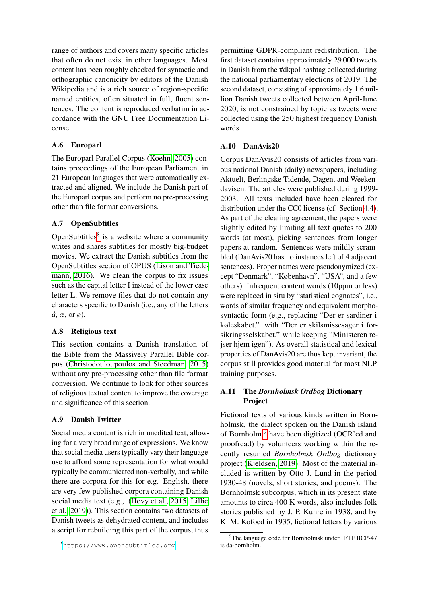range of authors and covers many specific articles that often do not exist in other languages. Most content has been roughly checked for syntactic and orthographic canonicity by editors of the Danish Wikipedia and is a rich source of region-specific named entities, often situated in full, fluent sentences. The content is reproduced verbatim in accordance with the GNU Free Documentation License.

# A.6 Europarl

The Europarl Parallel Corpus [\(Koehn, 2005\)](#page-5-17) contains proceedings of the European Parliament in 21 European languages that were automatically extracted and aligned. We include the Danish part of the Europarl corpus and perform no pre-processing other than file format conversions.

# A.7 OpenSubtitles

OpenSubtitles $8$  is a website where a community writes and shares subtitles for mostly big-budget movies. We extract the Danish subtitles from the OpenSubtitles section of OPUS [\(Lison and Tiede](#page-5-18)[mann, 2016\)](#page-5-18). We clean the corpus to fix issues such as the capital letter I instead of the lower case letter L. We remove files that do not contain any characters specific to Danish (i.e., any of the letters *å*, *æ*, or *ø*).

### A.8 Religious text

This section contains a Danish translation of the Bible from the Massively Parallel Bible corpus [\(Christodouloupoulos and Steedman, 2015\)](#page-4-3) without any pre-processing other than file format conversion. We continue to look for other sources of religious textual content to improve the coverage and significance of this section.

# A.9 Danish Twitter

Social media content is rich in unedited text, allowing for a very broad range of expressions. We know that social media users typically vary their language use to afford some representation for what would typically be communicated non-verbally, and while there are corpora for this for e.g. English, there are very few published corpora containing Danish social media text (e.g., [\(Hovy et al., 2015;](#page-5-19) [Lillie](#page-5-20) [et al., 2019\)](#page-5-20)). This section contains two datasets of Danish tweets as dehydrated content, and includes a script for rebuilding this part of the corpus, thus permitting GDPR-compliant redistribution. The first dataset contains approximately 29 000 tweets in Danish from the #dkpol hashtag collected during the national parliamentary elections of 2019. The second dataset, consisting of approximately 1.6 million Danish tweets collected between April-June 2020, is not constrained by topic as tweets were collected using the 250 highest frequency Danish words.

## A.10 DanAvis20

Corpus DanAvis20 consists of articles from various national Danish (daily) newspapers, including Aktuelt, Berlingske Tidende, Dagen, and Weekendavisen. The articles were published during 1999- 2003. All texts included have been cleared for distribution under the CC0 license (cf. Section [4.4\)](#page-3-1). As part of the clearing agreement, the papers were slightly edited by limiting all text quotes to 200 words (at most), picking sentences from longer papers at random. Sentences were mildly scrambled (DanAvis20 has no instances left of 4 adjacent sentences). Proper names were pseudonymized (except "Denmark", "København", "USA", and a few others). Infrequent content words (10ppm or less) were replaced in situ by "statistical cognates", i.e., words of similar frequency and equivalent morphosyntactic form (e.g., replacing "Der er sardiner i køleskabet." with "Der er skilsmissesager i forsikringsselskabet." while keeping "Ministeren rejser hjem igen"). As overall statistical and lexical properties of DanAvis20 are thus kept invariant, the corpus still provides good material for most NLP training purposes.

# A.11 The *Bornholmsk Ordbog* Dictionary Project

Fictional texts of various kinds written in Bornholmsk, the dialect spoken on the Danish island of Bornholm,<sup>[9](#page-7-1)</sup> have been digitized (OCR'ed and proofread) by volunteers working within the recently resumed *Bornholmsk Ordbog* dictionary project [\(Kjeldsen, 2019\)](#page-5-21). Most of the material included is written by Otto J. Lund in the period 1930-48 (novels, short stories, and poems). The Bornholmsk subcorpus, which in its present state amounts to circa 400 K words, also includes folk stories published by J. P. Kuhre in 1938, and by K. M. Kofoed in 1935, fictional letters by various

<span id="page-7-0"></span><sup>8</sup><https://www.opensubtitles.org>

<span id="page-7-1"></span><sup>&</sup>lt;sup>9</sup>The language code for Bornholmsk under IETF BCP-47 is da-bornholm.